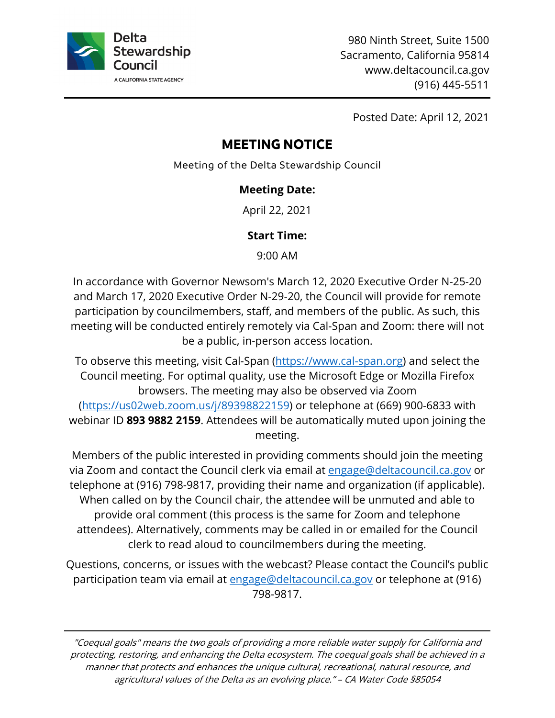

980 Ninth Street, Suite 1500 Sacramento, California 95814 <www.deltacouncil.ca.gov> (916) 445-5511

Posted Date: April 12, 2021

# **MEETING NOTICE**

Meeting of the Delta Stewardship Council

### **Meeting Date:**

April 22, 2021

### **Start Time:**

9:00 AM

In accordance with Governor Newsom's March 12, 2020 Executive Order N-25-20 and March 17, 2020 Executive Order N-29-20, the Council will provide for remote participation by councilmembers, staff, and members of the public. As such, this meeting will be conducted entirely remotely via Cal-Span and Zoom: there will not be a public, in-person access location.

To observe this meeting, visit Cal-Span (<u><https://www.cal-span.org></u>) and select the  webinar ID **893 9882 2159**. Attendees will be automatically muted upon joining the Council meeting. For optimal quality, use the Microsoft Edge or Mozilla Firefox browsers. The meeting may also be observed via Zoom [\(https://us02web.zoom.us/j/89398822159](https://us02web.zoom.us/j/89398822159)) or telephone at (669) 900-6833 with meeting.

 Members of the public interested in providing comments should join the meeting via Zoom and contact the Council clerk via email at [engage@deltacouncil.ca.gov](mailto:engage@deltacouncil.ca.gov) or telephone at (916) 798-9817, providing their name and organization (if applicable). When called on by the Council chair, the attendee will be unmuted and able to provide oral comment (this process is the same for Zoom and telephone attendees). Alternatively, comments may be called in or emailed for the Council clerk to read aloud to councilmembers during the meeting.

Questions, concerns, or issues with the webcast? Please contact the Council's public participation team via email at [engage@deltacouncil.ca.gov](mailto:engage@deltacouncil.ca.gov) or telephone at (916) 798-9817.

"Coequal goals" means the two goals of providing a more reliable water supply for California and protecting, restoring, and enhancing the Delta ecosystem. The coequal goals shall be achieved in a manner that protects and enhances the unique cultural, recreational, natural resource, and agricultural values of the Delta as an evolving place." – CA Water Code §85054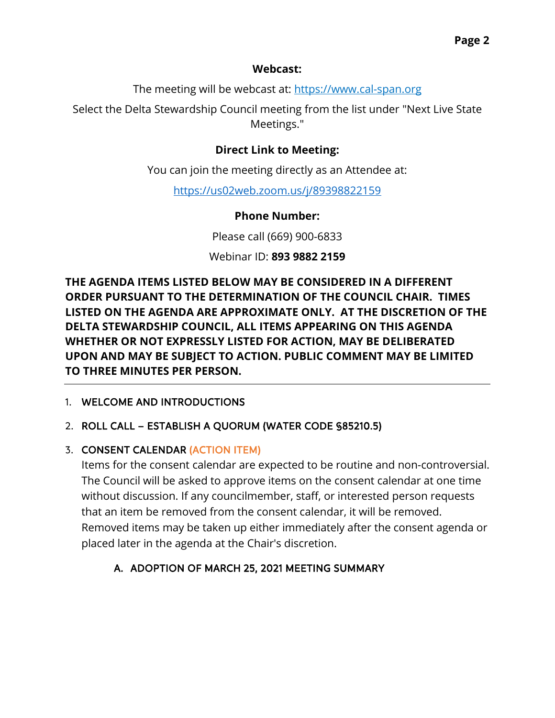#### **Webcast:**

The meeting will be webcast at: <https://www.cal-span.org>

Select the Delta Stewardship Council meeting from the list under "Next Live State Meetings."

### **Direct Link to Meeting:**

You can join the meeting directly as an Attendee at:

<https://us02web.zoom.us/j/89398822159>

### **Phone Number:**

Please call (669) 900-6833

Webinar ID: **893 9882 2159** 

**THE AGENDA ITEMS LISTED BELOW MAY BE CONSIDERED IN A DIFFERENT ORDER PURSUANT TO THE DETERMINATION OF THE COUNCIL CHAIR. TIMES LISTED ON THE AGENDA ARE APPROXIMATE ONLY. AT THE DISCRETION OF THE DELTA STEWARDSHIP COUNCIL, ALL ITEMS APPEARING ON THIS AGENDA WHETHER OR NOT EXPRESSLY LISTED FOR ACTION, MAY BE DELIBERATED UPON AND MAY BE SUBJECT TO ACTION. PUBLIC COMMENT MAY BE LIMITED TO THREE MINUTES PER PERSON.** 

### 1. WELCOME AND INTRODUCTIONS

### 2. ROLL CALL – ESTABLISH A QUORUM (WATER CODE §85210.5)

### 3. CONSENT CALENDAR (ACTION ITEM)

Items for the consent calendar are expected to be routine and non-controversial. The Council will be asked to approve items on the consent calendar at one time without discussion. If any councilmember, staff, or interested person requests that an item be removed from the consent calendar, it will be removed. Removed items may be taken up either immediately after the consent agenda or placed later in the agenda at the Chair's discretion.

## A. ADOPTION OF MARCH 25, 2021 MEETING SUMMARY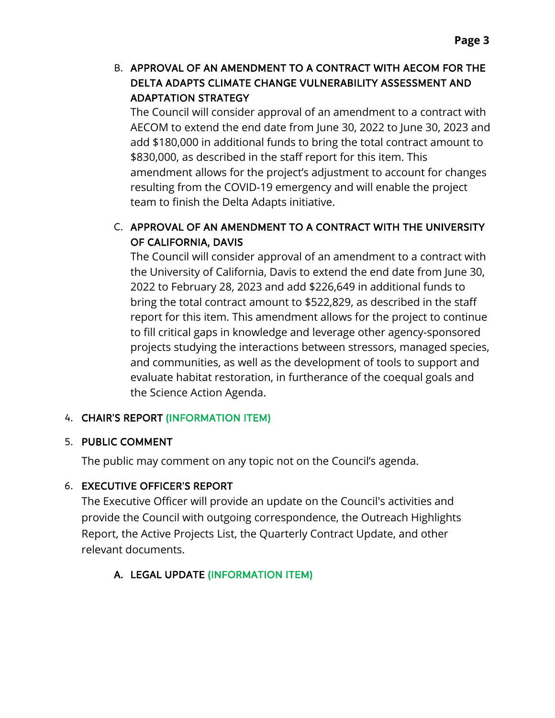### B. APPROVAL OF AN AMENDMENT TO A CONTRACT WITH AECOM FOR THE DELTA ADAPTS CLIMATE CHANGE VULNERABILITY ASSESSMENT AND ADAPTATION STRATEGY

 AECOM to extend the end date from June 30, 2022 to June 30, 2023 and resulting from the COVID-19 emergency and will enable the project team to finish the Delta Adapts initiative. The Council will consider approval of an amendment to a contract with add \$180,000 in additional funds to bring the total contract amount to \$830,000, as described in the staff report for this item. This amendment allows for the project's adjustment to account for changes

## C. APPROVAL OF AN AMENDMENT TO A CONTRACT WITH THE UNIVERSITY OF CALIFORNIA, DAVIS

 bring the total contract amount to \$522,829, as described in the staff and communities, as well as the development of tools to support and The Council will consider approval of an amendment to a contract with the University of California, Davis to extend the end date from June 30, 2022 to February 28, 2023 and add \$226,649 in additional funds to report for this item. This amendment allows for the project to continue to fill critical gaps in knowledge and leverage other agency-sponsored projects studying the interactions between stressors, managed species, evaluate habitat restoration, in furtherance of the coequal goals and the Science Action Agenda.

### 4. CHAIR'S REPORT (INFORMATION ITEM)

#### 5. PUBLIC COMMENT

The public may comment on any topic not on the Council's agenda.

### 6. EXECUTIVE OFFICER'S REPORT

 provide the Council with outgoing correspondence, the Outreach Highlights The Executive Officer will provide an update on the Council's activities and Report, the Active Projects List, the Quarterly Contract Update, and other relevant documents.

## A. LEGAL UPDATE (INFORMATION ITEM)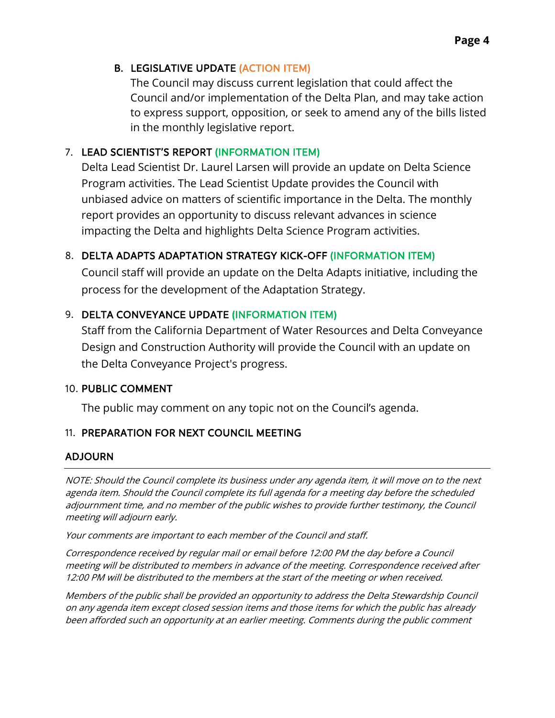#### B. LEGISLATIVE UPDATE (ACTION ITEM)

 Council and/or implementation of the Delta Plan, and may take action The Council may discuss current legislation that could affect the to express support, opposition, or seek to amend any of the bills listed in the monthly legislative report.

### 7. LEAD SCIENTIST'S REPORT (INFORMATION ITEM)

 impacting the Delta and highlights Delta Science Program activities. Delta Lead Scientist Dr. Laurel Larsen will provide an update on Delta Science Program activities. The Lead Scientist Update provides the Council with unbiased advice on matters of scientific importance in the Delta. The monthly report provides an opportunity to discuss relevant advances in science

### 8. DELTA ADAPTS ADAPTATION STRATEGY KICK-OFF (INFORMATION ITEM)

 Council staff will provide an update on the Delta Adapts initiative, including the process for the development of the Adaptation Strategy.

### 9. DELTA CONVEYANCE UPDATE (INFORMATION ITEM)

 the Delta Conveyance Project's progress. Staff from the California Department of Water Resources and Delta Conveyance Design and Construction Authority will provide the Council with an update on

### 10. PUBLIC COMMENT

The public may comment on any topic not on the Council's agenda.

### 11. PREPARATION FOR NEXT COUNCIL MEETING

### ADJOURN

NOTE: Should the Council complete its business under any agenda item, it will move on to the next agenda item. Should the Council complete its full agenda for a meeting day before the scheduled adjournment time, and no member of the public wishes to provide further testimony, the Council meeting will adjourn early.

Your comments are important to each member of the Council and staff.

Correspondence received by regular mail or email before 12:00 PM the day before a Council meeting will be distributed to members in advance of the meeting. Correspondence received after 12:00 PM will be distributed to the members at the start of the meeting or when received.

Members of the public shall be provided an opportunity to address the Delta Stewardship Council on any agenda item except closed session items and those items for which the public has already been afforded such an opportunity at an earlier meeting. Comments during the public comment